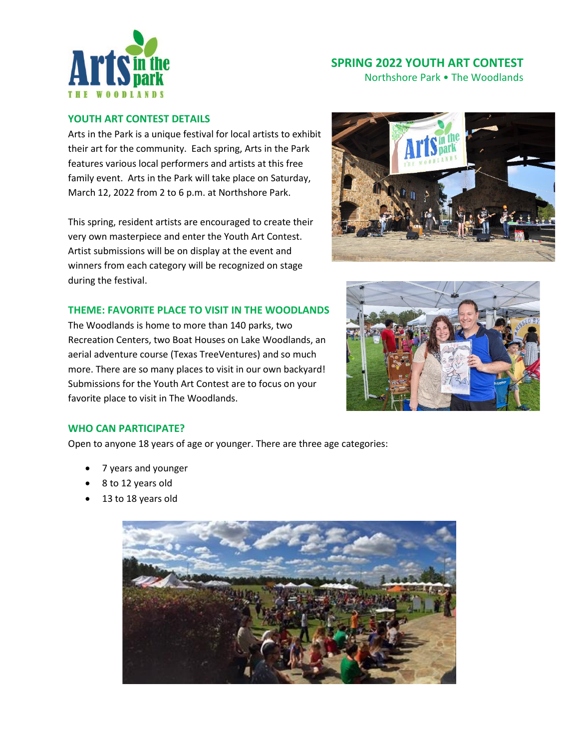

Northshore Park • The Woodlands

#### **YOUTH ART CONTEST DETAILS**

Arts in the Park is a unique festival for local artists to exhibit their art for the community. Each spring, Arts in the Park features various local performers and artists at this free family event. Arts in the Park will take place on Saturday, March 12, 2022 from 2 to 6 p.m. at Northshore Park.

This spring, resident artists are encouraged to create their very own masterpiece and enter the Youth Art Contest. Artist submissions will be on display at the event and winners from each category will be recognized on stage during the festival.



### **THEME: FAVORITE PLACE TO VISIT IN THE WOODLANDS**

The Woodlands is home to more than 140 parks, two Recreation Centers, two Boat Houses on Lake Woodlands, an aerial adventure course (Texas TreeVentures) and so much more. There are so many places to visit in our own backyard! Submissions for the Youth Art Contest are to focus on your favorite place to visit in The Woodlands.



#### **WHO CAN PARTICIPATE?**

Open to anyone 18 years of age or younger. There are three age categories:

- 7 years and younger
- 8 to 12 years old
- 13 to 18 years old

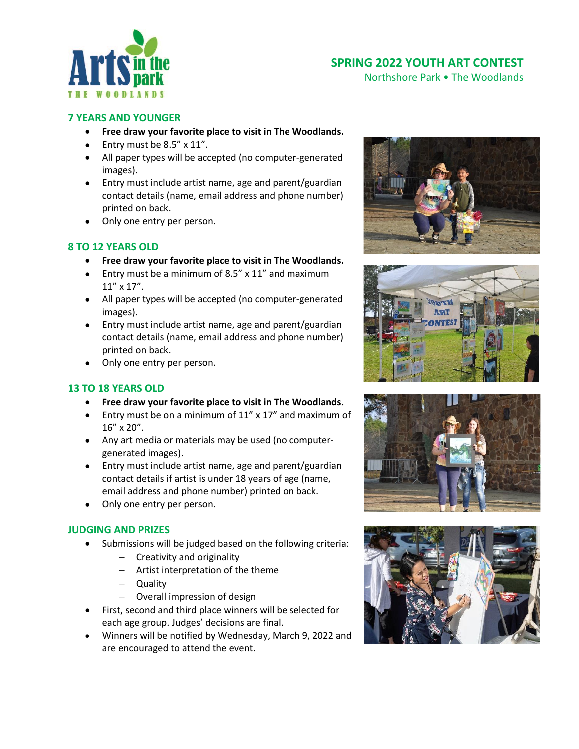

Northshore Park • The Woodlands

#### **7 YEARS AND YOUNGER**

- **Free draw your favorite place to visit in The Woodlands.**
- Entry must be 8.5" x 11".
- All paper types will be accepted (no computer-generated images).
- Entry must include artist name, age and parent/guardian contact details (name, email address and phone number) printed on back.
- Only one entry per person.

#### **8 TO 12 YEARS OLD**

- **Free draw your favorite place to visit in The Woodlands.**
- Entry must be a minimum of 8.5" x 11" and maximum 11" x 17".
- All paper types will be accepted (no computer-generated images).
- Entry must include artist name, age and parent/guardian contact details (name, email address and phone number) printed on back.
- Only one entry per person.

#### **13 TO 18 YEARS OLD**

- **Free draw your favorite place to visit in The Woodlands.**
- Entry must be on a minimum of 11" x 17" and maximum of 16" x 20".
- Any art media or materials may be used (no computergenerated images).
- Entry must include artist name, age and parent/guardian contact details if artist is under 18 years of age (name, email address and phone number) printed on back.
- Only one entry per person.

#### **JUDGING AND PRIZES**

- Submissions will be judged based on the following criteria:
	- − Creativity and originality
	- − Artist interpretation of the theme
	- − Quality
	- − Overall impression of design
- First, second and third place winners will be selected for each age group. Judges' decisions are final.
- Winners will be notified by Wednesday, March 9, 2022 and are encouraged to attend the event.







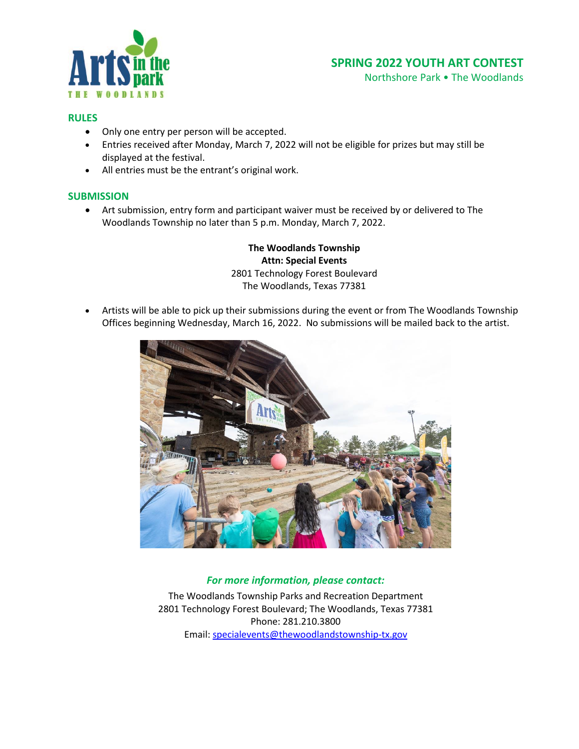

Northshore Park • The Woodlands

#### **RULES**

- Only one entry per person will be accepted.
- Entries received after Monday, March 7, 2022 will not be eligible for prizes but may still be displayed at the festival.
- All entries must be the entrant's original work.

#### **SUBMISSION**

• Art submission, entry form and participant waiver must be received by or delivered to The Woodlands Township no later than 5 p.m. Monday, March 7, 2022.

> **The Woodlands Township Attn: Special Events** 2801 Technology Forest Boulevard The Woodlands, Texas 77381

• Artists will be able to pick up their submissions during the event or from The Woodlands Township Offices beginning Wednesday, March 16, 2022. No submissions will be mailed back to the artist.



### *For more information, please contact:*

The Woodlands Township Parks and Recreation Department 2801 Technology Forest Boulevard; The Woodlands, Texas 77381 Phone: 281.210.3800 Email[: specialevents@thewoodlandstownship-tx.gov](mailto:specialevents@thewoodlandstownship-tx.gov)